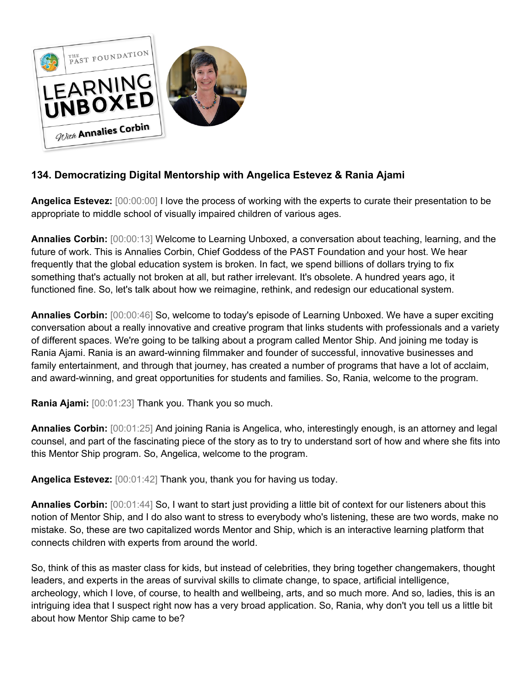

## **134. Democratizing Digital Mentorship with Angelica Estevez & Rania Ajami**

**Angelica Estevez:** [00:00:00] I love the process of working with the experts to curate their presentation to be appropriate to middle school of visually impaired children of various ages.

**Annalies Corbin:** [00:00:13] Welcome to Learning Unboxed, a conversation about teaching, learning, and the future of work. This is Annalies Corbin, Chief Goddess of the PAST Foundation and your host. We hear frequently that the global education system is broken. In fact, we spend billions of dollars trying to fix something that's actually not broken at all, but rather irrelevant. It's obsolete. A hundred years ago, it functioned fine. So, let's talk about how we reimagine, rethink, and redesign our educational system.

**Annalies Corbin:** [00:00:46] So, welcome to today's episode of Learning Unboxed. We have a super exciting conversation about a really innovative and creative program that links students with professionals and a variety of different spaces. We're going to be talking about a program called Mentor Ship. And joining me today is Rania Ajami. Rania is an award-winning filmmaker and founder of successful, innovative businesses and family entertainment, and through that journey, has created a number of programs that have a lot of acclaim, and award-winning, and great opportunities for students and families. So, Rania, welcome to the program.

**Rania Ajami:** [00:01:23] Thank you. Thank you so much.

**Annalies Corbin:** [00:01:25] And joining Rania is Angelica, who, interestingly enough, is an attorney and legal counsel, and part of the fascinating piece of the story as to try to understand sort of how and where she fits into this Mentor Ship program. So, Angelica, welcome to the program.

**Angelica Estevez:** [00:01:42] Thank you, thank you for having us today.

**Annalies Corbin:** [00:01:44] So, I want to start just providing a little bit of context for our listeners about this notion of Mentor Ship, and I do also want to stress to everybody who's listening, these are two words, make no mistake. So, these are two capitalized words Mentor and Ship, which is an interactive learning platform that connects children with experts from around the world.

So, think of this as master class for kids, but instead of celebrities, they bring together changemakers, thought leaders, and experts in the areas of survival skills to climate change, to space, artificial intelligence, archeology, which I love, of course, to health and wellbeing, arts, and so much more. And so, ladies, this is an intriguing idea that I suspect right now has a very broad application. So, Rania, why don't you tell us a little bit about how Mentor Ship came to be?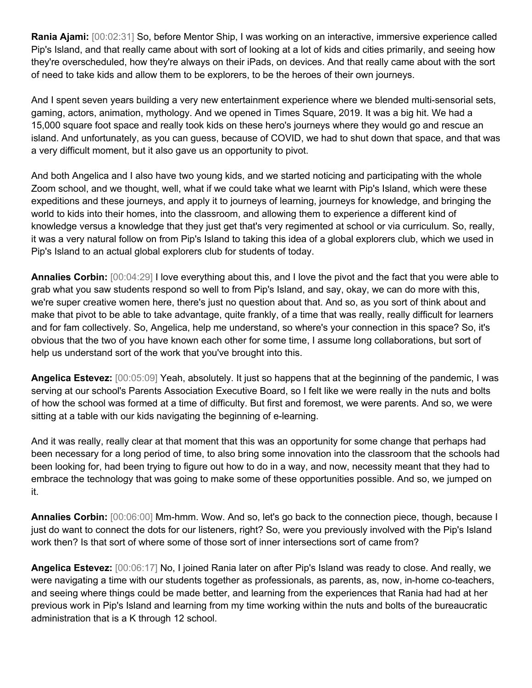**Rania Ajami:** [00:02:31] So, before Mentor Ship, I was working on an interactive, immersive experience called Pip's Island, and that really came about with sort of looking at a lot of kids and cities primarily, and seeing how they're overscheduled, how they're always on their iPads, on devices. And that really came about with the sort of need to take kids and allow them to be explorers, to be the heroes of their own journeys.

And I spent seven years building a very new entertainment experience where we blended multi-sensorial sets, gaming, actors, animation, mythology. And we opened in Times Square, 2019. It was a big hit. We had a 15,000 square foot space and really took kids on these hero's journeys where they would go and rescue an island. And unfortunately, as you can guess, because of COVID, we had to shut down that space, and that was a very difficult moment, but it also gave us an opportunity to pivot.

And both Angelica and I also have two young kids, and we started noticing and participating with the whole Zoom school, and we thought, well, what if we could take what we learnt with Pip's Island, which were these expeditions and these journeys, and apply it to journeys of learning, journeys for knowledge, and bringing the world to kids into their homes, into the classroom, and allowing them to experience a different kind of knowledge versus a knowledge that they just get that's very regimented at school or via curriculum. So, really, it was a very natural follow on from Pip's Island to taking this idea of a global explorers club, which we used in Pip's Island to an actual global explorers club for students of today.

**Annalies Corbin:** [00:04:29] I love everything about this, and I love the pivot and the fact that you were able to grab what you saw students respond so well to from Pip's Island, and say, okay, we can do more with this, we're super creative women here, there's just no question about that. And so, as you sort of think about and make that pivot to be able to take advantage, quite frankly, of a time that was really, really difficult for learners and for fam collectively. So, Angelica, help me understand, so where's your connection in this space? So, it's obvious that the two of you have known each other for some time, I assume long collaborations, but sort of help us understand sort of the work that you've brought into this.

**Angelica Estevez:** [00:05:09] Yeah, absolutely. It just so happens that at the beginning of the pandemic, I was serving at our school's Parents Association Executive Board, so I felt like we were really in the nuts and bolts of how the school was formed at a time of difficulty. But first and foremost, we were parents. And so, we were sitting at a table with our kids navigating the beginning of e-learning.

And it was really, really clear at that moment that this was an opportunity for some change that perhaps had been necessary for a long period of time, to also bring some innovation into the classroom that the schools had been looking for, had been trying to figure out how to do in a way, and now, necessity meant that they had to embrace the technology that was going to make some of these opportunities possible. And so, we jumped on it.

**Annalies Corbin:** [00:06:00] Mm-hmm. Wow. And so, let's go back to the connection piece, though, because I just do want to connect the dots for our listeners, right? So, were you previously involved with the Pip's Island work then? Is that sort of where some of those sort of inner intersections sort of came from?

**Angelica Estevez:** [00:06:17] No, I joined Rania later on after Pip's Island was ready to close. And really, we were navigating a time with our students together as professionals, as parents, as, now, in-home co-teachers, and seeing where things could be made better, and learning from the experiences that Rania had had at her previous work in Pip's Island and learning from my time working within the nuts and bolts of the bureaucratic administration that is a K through 12 school.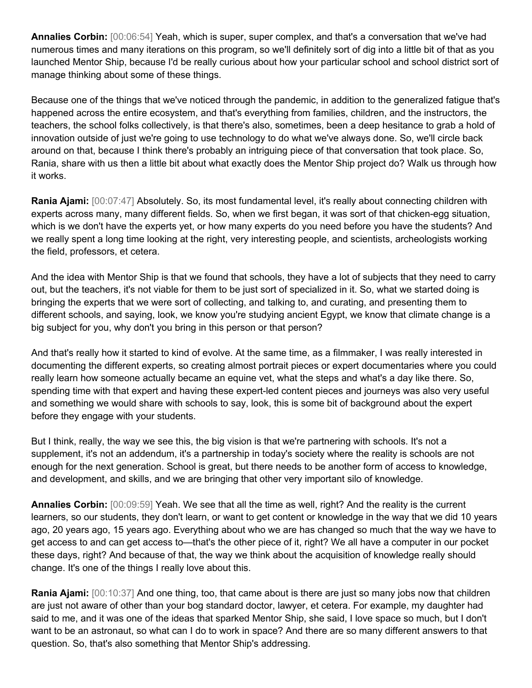**Annalies Corbin:** [00:06:54] Yeah, which is super, super complex, and that's a conversation that we've had numerous times and many iterations on this program, so we'll definitely sort of dig into a little bit of that as you launched Mentor Ship, because I'd be really curious about how your particular school and school district sort of manage thinking about some of these things.

Because one of the things that we've noticed through the pandemic, in addition to the generalized fatigue that's happened across the entire ecosystem, and that's everything from families, children, and the instructors, the teachers, the school folks collectively, is that there's also, sometimes, been a deep hesitance to grab a hold of innovation outside of just we're going to use technology to do what we've always done. So, we'll circle back around on that, because I think there's probably an intriguing piece of that conversation that took place. So, Rania, share with us then a little bit about what exactly does the Mentor Ship project do? Walk us through how it works.

**Rania Ajami:** [00:07:47] Absolutely. So, its most fundamental level, it's really about connecting children with experts across many, many different fields. So, when we first began, it was sort of that chicken-egg situation, which is we don't have the experts yet, or how many experts do you need before you have the students? And we really spent a long time looking at the right, very interesting people, and scientists, archeologists working the field, professors, et cetera.

And the idea with Mentor Ship is that we found that schools, they have a lot of subjects that they need to carry out, but the teachers, it's not viable for them to be just sort of specialized in it. So, what we started doing is bringing the experts that we were sort of collecting, and talking to, and curating, and presenting them to different schools, and saying, look, we know you're studying ancient Egypt, we know that climate change is a big subject for you, why don't you bring in this person or that person?

And that's really how it started to kind of evolve. At the same time, as a filmmaker, I was really interested in documenting the different experts, so creating almost portrait pieces or expert documentaries where you could really learn how someone actually became an equine vet, what the steps and what's a day like there. So, spending time with that expert and having these expert-led content pieces and journeys was also very useful and something we would share with schools to say, look, this is some bit of background about the expert before they engage with your students.

But I think, really, the way we see this, the big vision is that we're partnering with schools. It's not a supplement, it's not an addendum, it's a partnership in today's society where the reality is schools are not enough for the next generation. School is great, but there needs to be another form of access to knowledge, and development, and skills, and we are bringing that other very important silo of knowledge.

**Annalies Corbin:** [00:09:59] Yeah. We see that all the time as well, right? And the reality is the current learners, so our students, they don't learn, or want to get content or knowledge in the way that we did 10 years ago, 20 years ago, 15 years ago. Everything about who we are has changed so much that the way we have to get access to and can get access to—that's the other piece of it, right? We all have a computer in our pocket these days, right? And because of that, the way we think about the acquisition of knowledge really should change. It's one of the things I really love about this.

**Rania Ajami:** [00:10:37] And one thing, too, that came about is there are just so many jobs now that children are just not aware of other than your bog standard doctor, lawyer, et cetera. For example, my daughter had said to me, and it was one of the ideas that sparked Mentor Ship, she said, I love space so much, but I don't want to be an astronaut, so what can I do to work in space? And there are so many different answers to that question. So, that's also something that Mentor Ship's addressing.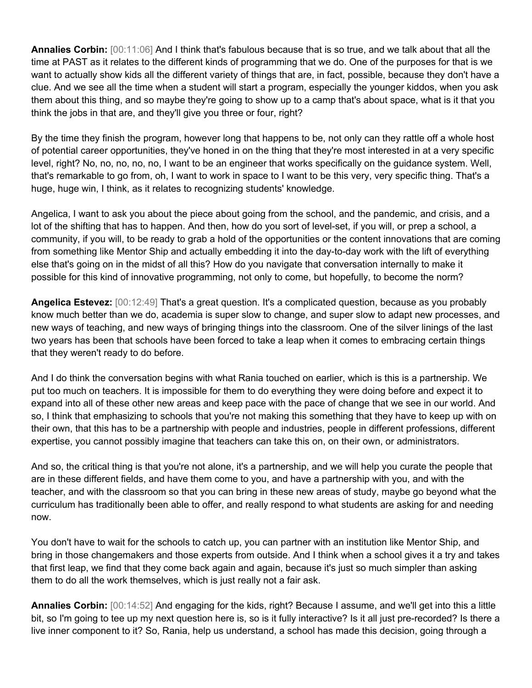**Annalies Corbin:** [00:11:06] And I think that's fabulous because that is so true, and we talk about that all the time at PAST as it relates to the different kinds of programming that we do. One of the purposes for that is we want to actually show kids all the different variety of things that are, in fact, possible, because they don't have a clue. And we see all the time when a student will start a program, especially the younger kiddos, when you ask them about this thing, and so maybe they're going to show up to a camp that's about space, what is it that you think the jobs in that are, and they'll give you three or four, right?

By the time they finish the program, however long that happens to be, not only can they rattle off a whole host of potential career opportunities, they've honed in on the thing that they're most interested in at a very specific level, right? No, no, no, no, no, I want to be an engineer that works specifically on the guidance system. Well, that's remarkable to go from, oh, I want to work in space to I want to be this very, very specific thing. That's a huge, huge win, I think, as it relates to recognizing students' knowledge.

Angelica, I want to ask you about the piece about going from the school, and the pandemic, and crisis, and a lot of the shifting that has to happen. And then, how do you sort of level-set, if you will, or prep a school, a community, if you will, to be ready to grab a hold of the opportunities or the content innovations that are coming from something like Mentor Ship and actually embedding it into the day-to-day work with the lift of everything else that's going on in the midst of all this? How do you navigate that conversation internally to make it possible for this kind of innovative programming, not only to come, but hopefully, to become the norm?

**Angelica Estevez:** [00:12:49] That's a great question. It's a complicated question, because as you probably know much better than we do, academia is super slow to change, and super slow to adapt new processes, and new ways of teaching, and new ways of bringing things into the classroom. One of the silver linings of the last two years has been that schools have been forced to take a leap when it comes to embracing certain things that they weren't ready to do before.

And I do think the conversation begins with what Rania touched on earlier, which is this is a partnership. We put too much on teachers. It is impossible for them to do everything they were doing before and expect it to expand into all of these other new areas and keep pace with the pace of change that we see in our world. And so, I think that emphasizing to schools that you're not making this something that they have to keep up with on their own, that this has to be a partnership with people and industries, people in different professions, different expertise, you cannot possibly imagine that teachers can take this on, on their own, or administrators.

And so, the critical thing is that you're not alone, it's a partnership, and we will help you curate the people that are in these different fields, and have them come to you, and have a partnership with you, and with the teacher, and with the classroom so that you can bring in these new areas of study, maybe go beyond what the curriculum has traditionally been able to offer, and really respond to what students are asking for and needing now.

You don't have to wait for the schools to catch up, you can partner with an institution like Mentor Ship, and bring in those changemakers and those experts from outside. And I think when a school gives it a try and takes that first leap, we find that they come back again and again, because it's just so much simpler than asking them to do all the work themselves, which is just really not a fair ask.

**Annalies Corbin:** [00:14:52] And engaging for the kids, right? Because I assume, and we'll get into this a little bit, so I'm going to tee up my next question here is, so is it fully interactive? Is it all just pre-recorded? Is there a live inner component to it? So, Rania, help us understand, a school has made this decision, going through a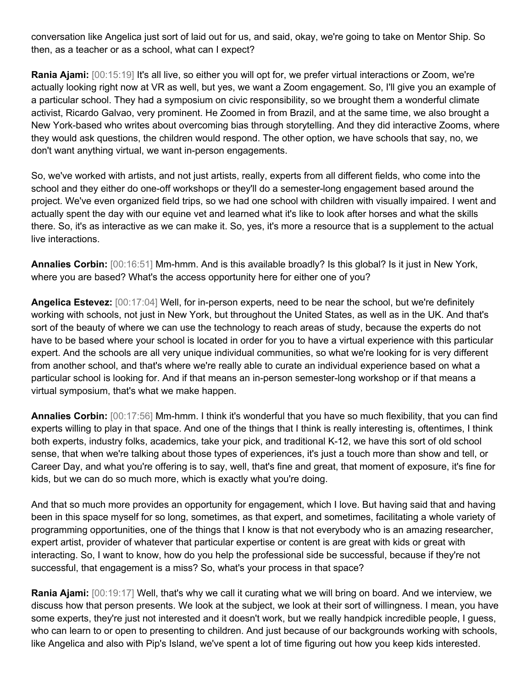conversation like Angelica just sort of laid out for us, and said, okay, we're going to take on Mentor Ship. So then, as a teacher or as a school, what can I expect?

**Rania Ajami:** [00:15:19] It's all live, so either you will opt for, we prefer virtual interactions or Zoom, we're actually looking right now at VR as well, but yes, we want a Zoom engagement. So, I'll give you an example of a particular school. They had a symposium on civic responsibility, so we brought them a wonderful climate activist, Ricardo Galvao, very prominent. He Zoomed in from Brazil, and at the same time, we also brought a New York-based who writes about overcoming bias through storytelling. And they did interactive Zooms, where they would ask questions, the children would respond. The other option, we have schools that say, no, we don't want anything virtual, we want in-person engagements.

So, we've worked with artists, and not just artists, really, experts from all different fields, who come into the school and they either do one-off workshops or they'll do a semester-long engagement based around the project. We've even organized field trips, so we had one school with children with visually impaired. I went and actually spent the day with our equine vet and learned what it's like to look after horses and what the skills there. So, it's as interactive as we can make it. So, yes, it's more a resource that is a supplement to the actual live interactions.

**Annalies Corbin:** [00:16:51] Mm-hmm. And is this available broadly? Is this global? Is it just in New York, where you are based? What's the access opportunity here for either one of you?

**Angelica Estevez:** [00:17:04] Well, for in-person experts, need to be near the school, but we're definitely working with schools, not just in New York, but throughout the United States, as well as in the UK. And that's sort of the beauty of where we can use the technology to reach areas of study, because the experts do not have to be based where your school is located in order for you to have a virtual experience with this particular expert. And the schools are all very unique individual communities, so what we're looking for is very different from another school, and that's where we're really able to curate an individual experience based on what a particular school is looking for. And if that means an in-person semester-long workshop or if that means a virtual symposium, that's what we make happen.

**Annalies Corbin:** [00:17:56] Mm-hmm. I think it's wonderful that you have so much flexibility, that you can find experts willing to play in that space. And one of the things that I think is really interesting is, oftentimes, I think both experts, industry folks, academics, take your pick, and traditional K-12, we have this sort of old school sense, that when we're talking about those types of experiences, it's just a touch more than show and tell, or Career Day, and what you're offering is to say, well, that's fine and great, that moment of exposure, it's fine for kids, but we can do so much more, which is exactly what you're doing.

And that so much more provides an opportunity for engagement, which I love. But having said that and having been in this space myself for so long, sometimes, as that expert, and sometimes, facilitating a whole variety of programming opportunities, one of the things that I know is that not everybody who is an amazing researcher, expert artist, provider of whatever that particular expertise or content is are great with kids or great with interacting. So, I want to know, how do you help the professional side be successful, because if they're not successful, that engagement is a miss? So, what's your process in that space?

**Rania Ajami:** [00:19:17] Well, that's why we call it curating what we will bring on board. And we interview, we discuss how that person presents. We look at the subject, we look at their sort of willingness. I mean, you have some experts, they're just not interested and it doesn't work, but we really handpick incredible people, I guess, who can learn to or open to presenting to children. And just because of our backgrounds working with schools, like Angelica and also with Pip's Island, we've spent a lot of time figuring out how you keep kids interested.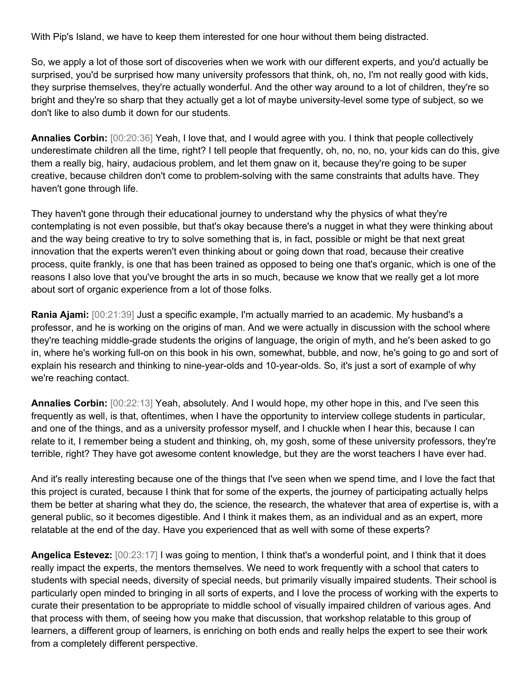With Pip's Island, we have to keep them interested for one hour without them being distracted.

So, we apply a lot of those sort of discoveries when we work with our different experts, and you'd actually be surprised, you'd be surprised how many university professors that think, oh, no, I'm not really good with kids, they surprise themselves, they're actually wonderful. And the other way around to a lot of children, they're so bright and they're so sharp that they actually get a lot of maybe university-level some type of subject, so we don't like to also dumb it down for our students.

**Annalies Corbin:** [00:20:36] Yeah, I love that, and I would agree with you. I think that people collectively underestimate children all the time, right? I tell people that frequently, oh, no, no, no, your kids can do this, give them a really big, hairy, audacious problem, and let them gnaw on it, because they're going to be super creative, because children don't come to problem-solving with the same constraints that adults have. They haven't gone through life.

They haven't gone through their educational journey to understand why the physics of what they're contemplating is not even possible, but that's okay because there's a nugget in what they were thinking about and the way being creative to try to solve something that is, in fact, possible or might be that next great innovation that the experts weren't even thinking about or going down that road, because their creative process, quite frankly, is one that has been trained as opposed to being one that's organic, which is one of the reasons I also love that you've brought the arts in so much, because we know that we really get a lot more about sort of organic experience from a lot of those folks.

**Rania Ajami:** [00:21:39] Just a specific example, I'm actually married to an academic. My husband's a professor, and he is working on the origins of man. And we were actually in discussion with the school where they're teaching middle-grade students the origins of language, the origin of myth, and he's been asked to go in, where he's working full-on on this book in his own, somewhat, bubble, and now, he's going to go and sort of explain his research and thinking to nine-year-olds and 10-year-olds. So, it's just a sort of example of why we're reaching contact.

**Annalies Corbin:** [00:22:13] Yeah, absolutely. And I would hope, my other hope in this, and I've seen this frequently as well, is that, oftentimes, when I have the opportunity to interview college students in particular, and one of the things, and as a university professor myself, and I chuckle when I hear this, because I can relate to it, I remember being a student and thinking, oh, my gosh, some of these university professors, they're terrible, right? They have got awesome content knowledge, but they are the worst teachers I have ever had.

And it's really interesting because one of the things that I've seen when we spend time, and I love the fact that this project is curated, because I think that for some of the experts, the journey of participating actually helps them be better at sharing what they do, the science, the research, the whatever that area of expertise is, with a general public, so it becomes digestible. And I think it makes them, as an individual and as an expert, more relatable at the end of the day. Have you experienced that as well with some of these experts?

**Angelica Estevez:** [00:23:17] I was going to mention, I think that's a wonderful point, and I think that it does really impact the experts, the mentors themselves. We need to work frequently with a school that caters to students with special needs, diversity of special needs, but primarily visually impaired students. Their school is particularly open minded to bringing in all sorts of experts, and I love the process of working with the experts to curate their presentation to be appropriate to middle school of visually impaired children of various ages. And that process with them, of seeing how you make that discussion, that workshop relatable to this group of learners, a different group of learners, is enriching on both ends and really helps the expert to see their work from a completely different perspective.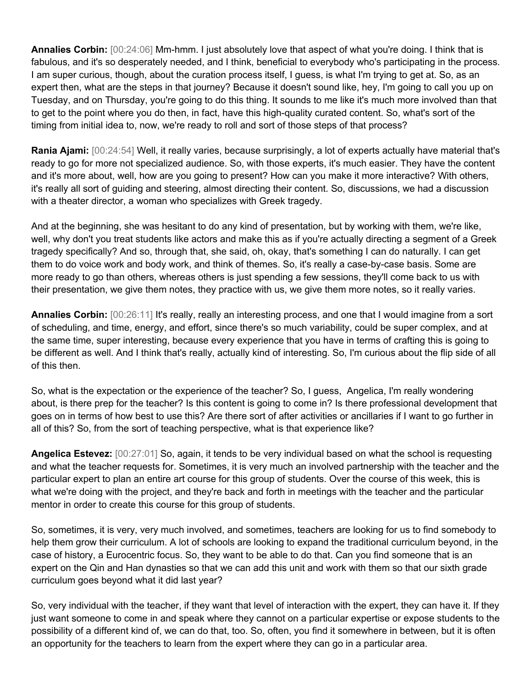**Annalies Corbin:** [00:24:06] Mm-hmm. I just absolutely love that aspect of what you're doing. I think that is fabulous, and it's so desperately needed, and I think, beneficial to everybody who's participating in the process. I am super curious, though, about the curation process itself, I guess, is what I'm trying to get at. So, as an expert then, what are the steps in that journey? Because it doesn't sound like, hey, I'm going to call you up on Tuesday, and on Thursday, you're going to do this thing. It sounds to me like it's much more involved than that to get to the point where you do then, in fact, have this high-quality curated content. So, what's sort of the timing from initial idea to, now, we're ready to roll and sort of those steps of that process?

**Rania Ajami:** [00:24:54] Well, it really varies, because surprisingly, a lot of experts actually have material that's ready to go for more not specialized audience. So, with those experts, it's much easier. They have the content and it's more about, well, how are you going to present? How can you make it more interactive? With others, it's really all sort of guiding and steering, almost directing their content. So, discussions, we had a discussion with a theater director, a woman who specializes with Greek tragedy.

And at the beginning, she was hesitant to do any kind of presentation, but by working with them, we're like, well, why don't you treat students like actors and make this as if you're actually directing a segment of a Greek tragedy specifically? And so, through that, she said, oh, okay, that's something I can do naturally. I can get them to do voice work and body work, and think of themes. So, it's really a case-by-case basis. Some are more ready to go than others, whereas others is just spending a few sessions, they'll come back to us with their presentation, we give them notes, they practice with us, we give them more notes, so it really varies.

**Annalies Corbin:** [00:26:11] It's really, really an interesting process, and one that I would imagine from a sort of scheduling, and time, energy, and effort, since there's so much variability, could be super complex, and at the same time, super interesting, because every experience that you have in terms of crafting this is going to be different as well. And I think that's really, actually kind of interesting. So, I'm curious about the flip side of all of this then.

So, what is the expectation or the experience of the teacher? So, I guess, Angelica, I'm really wondering about, is there prep for the teacher? Is this content is going to come in? Is there professional development that goes on in terms of how best to use this? Are there sort of after activities or ancillaries if I want to go further in all of this? So, from the sort of teaching perspective, what is that experience like?

**Angelica Estevez:** [00:27:01] So, again, it tends to be very individual based on what the school is requesting and what the teacher requests for. Sometimes, it is very much an involved partnership with the teacher and the particular expert to plan an entire art course for this group of students. Over the course of this week, this is what we're doing with the project, and they're back and forth in meetings with the teacher and the particular mentor in order to create this course for this group of students.

So, sometimes, it is very, very much involved, and sometimes, teachers are looking for us to find somebody to help them grow their curriculum. A lot of schools are looking to expand the traditional curriculum beyond, in the case of history, a Eurocentric focus. So, they want to be able to do that. Can you find someone that is an expert on the Qin and Han dynasties so that we can add this unit and work with them so that our sixth grade curriculum goes beyond what it did last year?

So, very individual with the teacher, if they want that level of interaction with the expert, they can have it. If they just want someone to come in and speak where they cannot on a particular expertise or expose students to the possibility of a different kind of, we can do that, too. So, often, you find it somewhere in between, but it is often an opportunity for the teachers to learn from the expert where they can go in a particular area.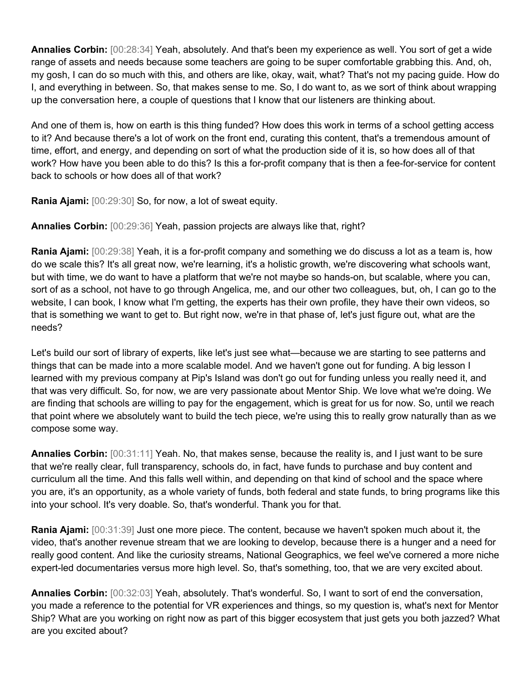**Annalies Corbin:** [00:28:34] Yeah, absolutely. And that's been my experience as well. You sort of get a wide range of assets and needs because some teachers are going to be super comfortable grabbing this. And, oh, my gosh, I can do so much with this, and others are like, okay, wait, what? That's not my pacing guide. How do I, and everything in between. So, that makes sense to me. So, I do want to, as we sort of think about wrapping up the conversation here, a couple of questions that I know that our listeners are thinking about.

And one of them is, how on earth is this thing funded? How does this work in terms of a school getting access to it? And because there's a lot of work on the front end, curating this content, that's a tremendous amount of time, effort, and energy, and depending on sort of what the production side of it is, so how does all of that work? How have you been able to do this? Is this a for-profit company that is then a fee-for-service for content back to schools or how does all of that work?

**Rania Ajami:** [00:29:30] So, for now, a lot of sweat equity.

**Annalies Corbin:** [00:29:36] Yeah, passion projects are always like that, right?

**Rania Ajami:** [00:29:38] Yeah, it is a for-profit company and something we do discuss a lot as a team is, how do we scale this? It's all great now, we're learning, it's a holistic growth, we're discovering what schools want, but with time, we do want to have a platform that we're not maybe so hands-on, but scalable, where you can, sort of as a school, not have to go through Angelica, me, and our other two colleagues, but, oh, I can go to the website, I can book, I know what I'm getting, the experts has their own profile, they have their own videos, so that is something we want to get to. But right now, we're in that phase of, let's just figure out, what are the needs?

Let's build our sort of library of experts, like let's just see what—because we are starting to see patterns and things that can be made into a more scalable model. And we haven't gone out for funding. A big lesson I learned with my previous company at Pip's Island was don't go out for funding unless you really need it, and that was very difficult. So, for now, we are very passionate about Mentor Ship. We love what we're doing. We are finding that schools are willing to pay for the engagement, which is great for us for now. So, until we reach that point where we absolutely want to build the tech piece, we're using this to really grow naturally than as we compose some way.

**Annalies Corbin:** [00:31:11] Yeah. No, that makes sense, because the reality is, and I just want to be sure that we're really clear, full transparency, schools do, in fact, have funds to purchase and buy content and curriculum all the time. And this falls well within, and depending on that kind of school and the space where you are, it's an opportunity, as a whole variety of funds, both federal and state funds, to bring programs like this into your school. It's very doable. So, that's wonderful. Thank you for that.

**Rania Ajami:** [00:31:39] Just one more piece. The content, because we haven't spoken much about it, the video, that's another revenue stream that we are looking to develop, because there is a hunger and a need for really good content. And like the curiosity streams, National Geographics, we feel we've cornered a more niche expert-led documentaries versus more high level. So, that's something, too, that we are very excited about.

**Annalies Corbin:** [00:32:03] Yeah, absolutely. That's wonderful. So, I want to sort of end the conversation, you made a reference to the potential for VR experiences and things, so my question is, what's next for Mentor Ship? What are you working on right now as part of this bigger ecosystem that just gets you both jazzed? What are you excited about?